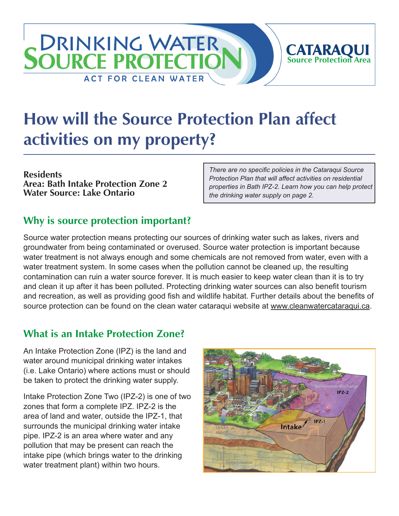# **How will the Source Protection Plan affect activities on my property?**

**Residents Area: Bath Intake Protection Zone 2 Water Source: Lake Ontario**

*There are no specific policies in the Cataraqui Source Protection Plan that will affect activities on residential properties in Bath IPZ-2. Learn how you can help protect the drinking water supply on page 2.*

**CATARAQUI**<br>Source Protection Area

### **Why is source protection important?**

**DRINKING WATER** 

**ACT FOR CLEAN WATER** 

**SOURCE PROTECTIC** 

Source water protection means protecting our sources of drinking water such as lakes, rivers and groundwater from being contaminated or overused. Source water protection is important because water treatment is not always enough and some chemicals are not removed from water, even with a water treatment system. In some cases when the pollution cannot be cleaned up, the resulting contamination can ruin a water source forever. It is much easier to keep water clean than it is to try and clean it up after it has been polluted. Protecting drinking water sources can also benefit tourism and recreation, as well as providing good fish and wildlife habitat. Further details about the benefits of source protection can be found on the clean water cataraqui website at [www.cleanwatercataraqui.ca.](http://www.cleanwatercataraqui.ca)

# **What is an Intake Protection Zone?**

An Intake Protection Zone (IPZ) is the land and water around municipal drinking water intakes (i.e. Lake Ontario) where actions must or should be taken to protect the drinking water supply.

Intake Protection Zone Two (IPZ-2) is one of two zones that form a complete IPZ. IPZ-2 is the area of land and water, outside the IPZ-1, that surrounds the municipal drinking water intake pipe. IPZ-2 is an area where water and any pollution that may be present can reach the intake pipe (which brings water to the drinking water treatment plant) within two hours.